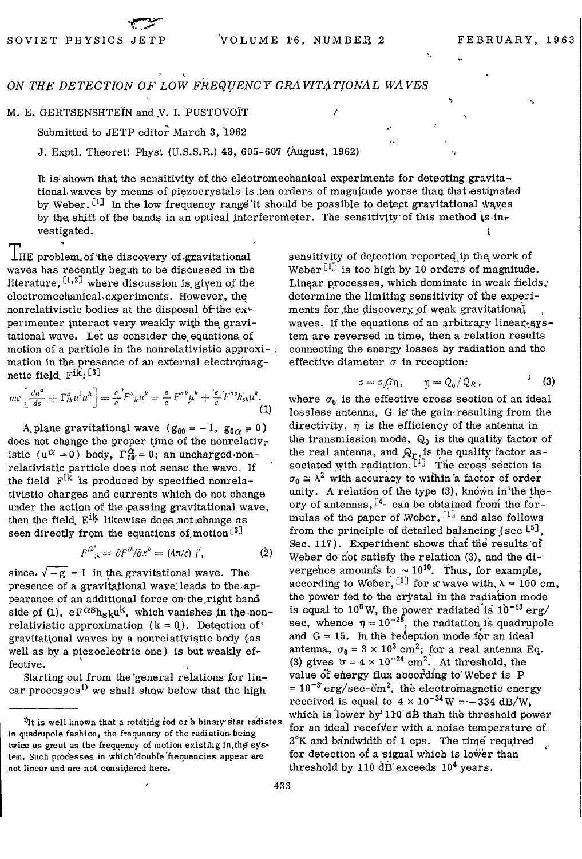## ON THE DETECTION OF LOW FREQUENCY GRAVITATIONAL WAVES

## M. E. GERTSENSHTEIN and V. I. PUSTOVOIT

Submitted to JETP editor March 3, 1962

J. Exptl. Theoreti Phys; (U.S.S.R.) 43, 605-607 <August, 1962)

It is shown that the sensitivity of the electromechanical experiments for detecting gravitational, waves by means of piezocrystals is ,ten orders of magnitude worse than that estimated by Weber.  $^{[1]}$  In the low frequency range'it should be possible to detect gravitational wayes by the shift of the bands in an optical interferometer. The sensitivity of this method  $\mathbf{i}\mathbf{s}\cdot\mathbf{in}\mathbf{r}$ vestigated.

I'HE problem of the discovery of gravitational waves has recently beguh to be discussed in the literature,  $[1,2]$  where discussion is given of the electromechanical'experiments. However, the nonrelativistic bodies at the disposal of the  $ex$ perimenter interact very weakly with the gravitational wave. Let us consider the equations of motion of a particle in the nonrelativistic approximation in the presence of an external electromagnetic field,  $\text{F}^{\text{i}k}$ : [3]

$$
mc\left[\frac{du^{\alpha}}{ds}+\Gamma_{ik}^{\alpha}u^{l}u^{k}\right]=\frac{e}{c}{}^{l}F^{\alpha}{}_{k}u^{k}=\frac{e}{c}F^{\alpha k}u^{k}+\frac{e}{c}{}^{l}F^{\alpha s}h_{sk}^{*}u^{k}.\tag{1}
$$

A plane gravitational wave  $(g_{00} = -1, g_{0\alpha} = 0)$ does not change the proper time of the nonrelativistic (u<sup> $\alpha$ </sup> = 0) body, Γ<sup> $\alpha$ </sup><sub>0</sub>' = 0; an uncharged·nonrelativistic particle does not sense the wave. If the field  $F^{ik}$  is produced by specified nonrelativistic charges and currents which do not change under the action of the passing gravitational wave, then the field,  $F^{ik}$  likewise does not change as seen directly from the equations of motion<sup>[3]</sup>

$$
F^{ik}_{\phantom{ik}ik} = \partial F^{ik}/\partial x^k = (4\pi/c) j^i, \tag{2}
$$

since.  $\sqrt{-g} = 1$  in the gravitational wave. The presence of a gravitational waye leads to the appearance of an additional force on the right hand side of (1),  $eF^{\alpha s}h_{sk}u^k$ , which vanishes in the nonrelativistic approximation  $(k = 0)$ . Detection of gravitational waves by a nonrelativistic body (as well as by a piezoelectric one) is but weakly effective.

Starting out from the'general relations for linear processes<sup>1)</sup> we shall show below that the high

sensitivity of detection reported in the work of Weber<sup>[1]</sup> is too high by 10 orders of magnitude. Linear processes, which dominate in weak fields, determine the limiting sensitivity of the experiments for, the discovery of weak gravitational waves. If the equations of an arbitrary linear system are reversed in time, then a relation results connecting the energy losses by radiation and the effective diameter  $\sigma$  in reception:

*κ* 

$$
\sigma = \sigma_0 G \eta, \qquad \eta = Q_0 / Q_R, \qquad \qquad ^{\lambda} \quad (3)
$$

where  $\sigma_0$  is the effective cross section of an ideal lossless antenna,  $G$  is the gain resulting from the directivity,  $\eta$  is the efficiency of the antenna in the transmission mode,  $Q_0$  is the quality factor of the real antenna, and  $\mathbb{Q}_r$  is the quality factor associated with radiation.  $\begin{bmatrix} 1 \end{bmatrix}$  The cross section is  $\sigma_0 \approx \lambda^2$  with accuracy to within a factor of order unity. A relation of the type (3), known in the theory of antennas,  $^{[4]}$  can be obtained from the formulas of the paper of Weber,  $^{[1]}$  and also follows from the principle of detailed balancing *{see*  Sec. 117). Experiment shows that the results of Weber do not satisfy the relation (3), and the divergehce amounts to  $\sim 10^{10}$ . Thus, for example, according to Weber, <sup>[1]</sup> for a wave with,  $\lambda = 100$  cm, the power fed to the crystal in the radiation mode is equal to  $10^8$  W, the power radiated is  $10^{-13}$  erg/ sec, whence  $\eta = 10^{-28}$ , the radiation is quadrupole and  $G = 15$ . In the reception mode for an ideal antenna,  $\sigma_0 = 3 \times 10^3$  cm<sup>2</sup>; for a real antenna Eq. (3) gives  $\sigma = 4 \times 10^{-24}$  cm<sup>2</sup>. At threshold, the value of energy flux according to Weber is P  $= 10^{-3}$  erg/sec-cm<sup>2</sup>, the electromagnetic energy received is equal to  $4 \times 10^{-34}$  W =  $-334$  dB/W. which is lower by  $110'$  dB than the threshold power for an ideal receiver with a noise temperature of  $3^{\circ}$ K and bandwidth of 1 cps. The time required for detection of a signal which is lower than threshold by 110  $\rm d\dot{B}$  exceeds 10<sup>4</sup> years.

<sup>&</sup>lt;sup>D</sup>It is well known that a rotating rod or a binary star radiates **in quadrupole fashion, the frequency of the radiation-being**  twice as great as the frequency of motion existing in, the sys**tem. Such processes in which'double frequencies appear are not linear and are not considered here.**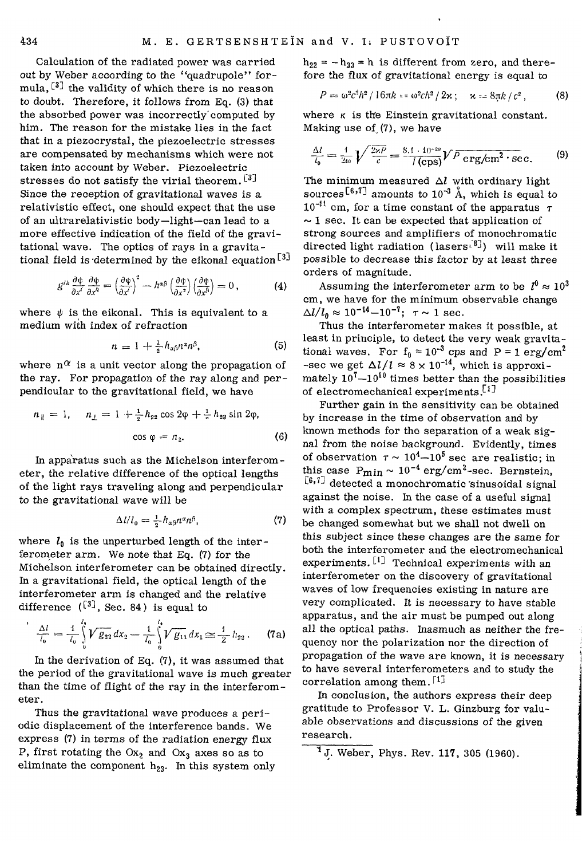Calculation of the radiated power was carried out by Weber according to the "quadrupole" formula,  $^{[3]}$  the validity of which there is no reason to doubt. Therefore, it follows from Eq. (3) that the absorbed power was incorrectly'computed by him. The reason for the mistake lies in the fact that in a piezocrystal, the piezoelectric stresses are compensated by mechanisms which were not taken into account by Weber. Piezoelectric stresses do not satisfy the virial theorem.  $[3]$ Since the reception of gravitational waves is a relativistic effect, one should expect that the use of an ultrarelativistic body—light—can lead to a more effective indication of the field of the gravitational wave. The optics of rays in a gravitational field is determined by the eikonal equation  $^{\lceil 3 \rceil}$ 

$$
g^{ik}\frac{\partial\psi}{\partial x^i}\frac{\partial\psi}{\partial x^k} = \left(\frac{\partial\psi}{\partial x^i}\right)^2 - h^{\alpha\beta}\left(\frac{\partial\psi}{\partial x^2}\right)\left(\frac{\partial\psi}{\partial x^{\beta}}\right) = 0, \qquad (4)
$$

where  $\psi$  is the eikonal. This is equivalent to a medium with index of refraction

$$
n = 1 + \frac{1}{2} h_{\alpha\beta} n^{\alpha} n^{\beta}, \qquad (5)
$$

where  $n^{\alpha}$  is a unit vector along the propagation of the ray. For propagation of the ray along and perpendicular to the gravitational field, we have

$$
n_{\parallel} = 1, \quad n_{\perp} = 1 + \frac{1}{2} h_{22} \cos 2\varphi + \frac{1}{2} h_{23} \sin 2\varphi,
$$
  

$$
\cos \varphi = n_{2}.
$$
 (6)

In apparatus such as the Michelson interferometer, the relative difference of the optical lengths of the light rays traveling along and perpendicular to the gravitational wave will be

$$
\Delta l / l_0 = \frac{1}{2} h_{\alpha \beta} n^{\alpha} n^{\beta}, \qquad (7)
$$

where  $l_0$  is the unperturbed length of the interferometer arm. We note that Eq. (7) for the Michelson interferometer can be obtained directly. In a gravitational field, the optical length of the interferometer arm is changed and the relative difference  $(\begin{bmatrix} 3 \end{bmatrix}$ , Sec. 84) is equal to

$$
\frac{\Delta l}{l_0} = \frac{1}{l_0} \int_0^{l_0} V \overline{g_{22}} \, dx_2 - \frac{1}{l_0} \int_0^{l_0} V \overline{g_{11}} \, dx_1 \cong \frac{1}{2} \, h_{22} \,. \tag{7a}
$$

In the derivation of Eq. (7), it was assumed that the period of the gravitational wave is much greater than the time of flight of the ray in the interferometer.

Thus the gravitational wave produces a periodic displacement of the interference bands. We express (7) in terms of the radiation energy flux P, first rotating the  $Ox_2$  and  $Ox_3$  axes so as to eliminate the component  $h_{23}$ . In this system only  $h_{22} = - h_{33} = h$  is different from zero, and therefore the flux of gravitational energy is equal to

$$
P = \omega^2 c^3 h^2 / 16 \pi k = \omega^2 c h^2 / 2 \kappa \, ; \quad \kappa = 8 \pi k / c^2 \, , \tag{8}
$$

where  $\kappa$  is the Einstein gravitational constant. Making use of (7), we have

$$
\frac{\Delta l}{l_0} = \frac{1}{2\omega} \sqrt{\frac{2\pi P}{c}} = \frac{8.1 \cdot 10^{-20}}{I \text{(cps)}} V \overline{P} \overline{\text{erg/cm}^2 \cdot \text{sec.}} \tag{9}
$$

The minimum measured  $\Delta l$  with ordinary light sources<sup>[6,7]</sup> amounts to  $10^{-3}$  Å, which is equal to  $10^{-11}$  cm, for a time constant of the apparatus  $\tau$  $\sim$  1 sec. It can be expected that application of strong sources and amplifiers of monochromatic directed light radiation (lasers<sup>[8]</sup>) will make it possible to decrease this factor by at least three orders of magnitude.

Assuming the interferometer arm to be  $l^0 \approx 10^3$ cm, we have for the minimum observable change  $\Delta l/l_0 \approx 10^{-14}-10^{-7}$ ;  $\tau \sim 1$  sec.

Thus the interferometer makes it possible, at least in principle, to detect the very weak gravitational waves. For  $f_0 = 10^{-3}$  cps and P = 1 erg/cm<sup>2</sup> -sec we get  $\Delta l/l \approx 8 \times 10^{-14}$ , which is approximately  $10^7-10^{10}$  times better than the possibilities of electromechanical experiments.<sup>[1]</sup>

Further gain in the sensitivity can be obtained by increase in the time of observation and by known methods for the separation of a weak signal from the noise background. Evidently, times of observation  $\tau \sim 10^4 - 10^5$  sec are realistic; in this case  $P_{\text{min}} \sim 10^{-4} \text{ erg/cm}^2$ -sec. Bernstein,  $[6,7]$  detected a monochromatic sinusoidal signal against the noise. In the case of a useful signal with a complex spectrum, these estimates must be changed somewhat but we shall not dwell on this subject since these changes are the same for both the interferometer and the electromechanical experiments.  $\left[1\right]$  Technical experiments with an interferometer on the discovery of gravitational waves of low frequencies existing in nature are very complicated. It is necessary to have stable apparatus, and the air must be pumped out along all the optical paths. Inasmuch as neither the frequency nor the polarization nor the direction of propagation of the wave are known, it is necessary to have several interferometers and to study the correlation among them.  $\lceil 1 \rceil$ 

In conclusion, the authors express their deep gratitude to Professor V. L. Ginzburg for valuable observations and discussions of the given research.

 $\overline{1}$ J. Weber, Phys. Rev. 117, 305 (1960).